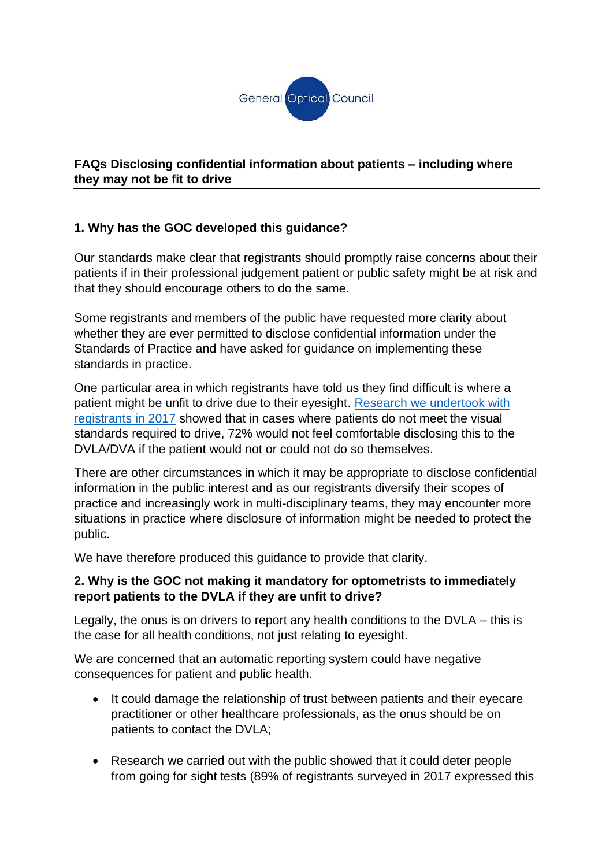

### **FAQs Disclosing confidential information about patients – including where they may not be fit to drive**

# **1. Why has the GOC developed this guidance?**

Our standards make clear that registrants should promptly raise concerns about their patients if in their professional judgement patient or public safety might be at risk and that they should encourage others to do the same.

Some registrants and members of the public have requested more clarity about whether they are ever permitted to disclose confidential information under the Standards of Practice and have asked for guidance on implementing these standards in practice.

One particular area in which registrants have told us they find difficult is where a patient might be unfit to drive due to their eyesight. [Research we undertook with](https://www.optical.org/en/news_publications/Publications/policy-and-research-papers.cfm)  [registrants in 2017](https://www.optical.org/en/news_publications/Publications/policy-and-research-papers.cfm) showed that in cases where patients do not meet the visual standards required to drive, 72% would not feel comfortable disclosing this to the DVLA/DVA if the patient would not or could not do so themselves.

There are other circumstances in which it may be appropriate to disclose confidential information in the public interest and as our registrants diversify their scopes of practice and increasingly work in multi-disciplinary teams, they may encounter more situations in practice where disclosure of information might be needed to protect the public.

We have therefore produced this guidance to provide that clarity.

#### **2. Why is the GOC not making it mandatory for optometrists to immediately report patients to the DVLA if they are unfit to drive?**

Legally, the onus is on drivers to report any health conditions to the DVLA – this is the case for all health conditions, not just relating to eyesight.

We are concerned that an automatic reporting system could have negative consequences for patient and public health.

- It could damage the relationship of trust between patients and their eyecare practitioner or other healthcare professionals, as the onus should be on patients to contact the DVLA;
- Research we carried out with the public showed that it could deter people from going for sight tests (89% of registrants surveyed in 2017 expressed this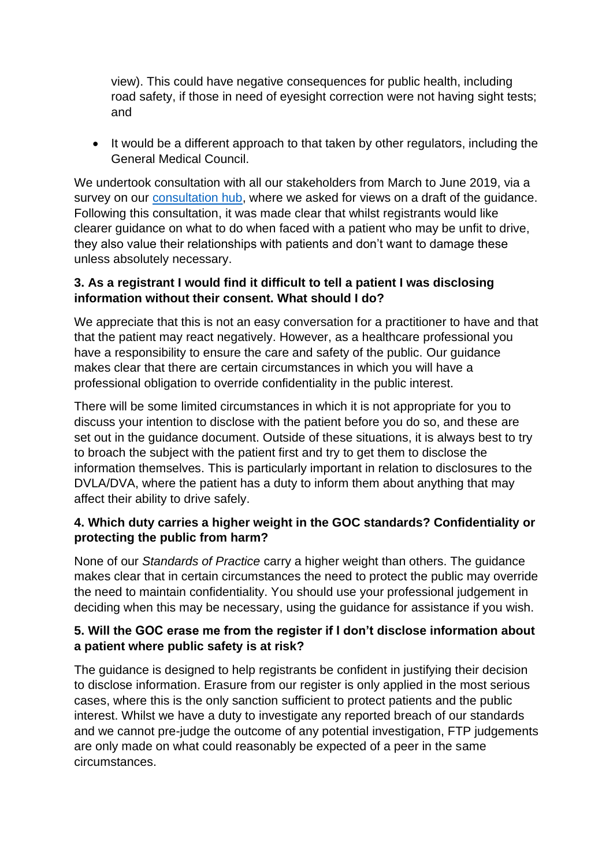view). This could have negative consequences for public health, including road safety, if those in need of eyesight correction were not having sight tests; and

• It would be a different approach to that taken by other regulators, including the General Medical Council.

We undertook consultation with all our stakeholders from March to June 2019, via a survey on our [consultation hub,](file:///C:/Users/cbrown/AppData/Local/Microsoft/Windows/INetCache/Content.Outlook/TCKSDRED/consultation.optical.org) where we asked for views on a draft of the guidance. Following this consultation, it was made clear that whilst registrants would like clearer guidance on what to do when faced with a patient who may be unfit to drive, they also value their relationships with patients and don't want to damage these unless absolutely necessary.

#### **3. As a registrant I would find it difficult to tell a patient I was disclosing information without their consent. What should I do?**

We appreciate that this is not an easy conversation for a practitioner to have and that that the patient may react negatively. However, as a healthcare professional you have a responsibility to ensure the care and safety of the public. Our guidance makes clear that there are certain circumstances in which you will have a professional obligation to override confidentiality in the public interest.

There will be some limited circumstances in which it is not appropriate for you to discuss your intention to disclose with the patient before you do so, and these are set out in the guidance document. Outside of these situations, it is always best to try to broach the subject with the patient first and try to get them to disclose the information themselves. This is particularly important in relation to disclosures to the DVLA/DVA, where the patient has a duty to inform them about anything that may affect their ability to drive safely.

### **4. Which duty carries a higher weight in the GOC standards? Confidentiality or protecting the public from harm?**

None of our *Standards of Practice* carry a higher weight than others. The guidance makes clear that in certain circumstances the need to protect the public may override the need to maintain confidentiality. You should use your professional judgement in deciding when this may be necessary, using the guidance for assistance if you wish.

### **5. Will the GOC erase me from the register if I don't disclose information about a patient where public safety is at risk?**

The guidance is designed to help registrants be confident in justifying their decision to disclose information. Erasure from our register is only applied in the most serious cases, where this is the only sanction sufficient to protect patients and the public interest. Whilst we have a duty to investigate any reported breach of our standards and we cannot pre-judge the outcome of any potential investigation, FTP judgements are only made on what could reasonably be expected of a peer in the same circumstances.